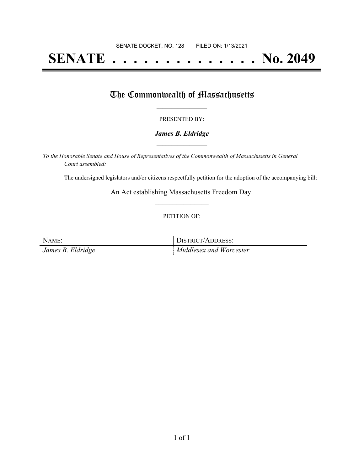# **SENATE . . . . . . . . . . . . . . No. 2049**

## The Commonwealth of Massachusetts

#### PRESENTED BY:

#### *James B. Eldridge* **\_\_\_\_\_\_\_\_\_\_\_\_\_\_\_\_\_**

*To the Honorable Senate and House of Representatives of the Commonwealth of Massachusetts in General Court assembled:*

The undersigned legislators and/or citizens respectfully petition for the adoption of the accompanying bill:

An Act establishing Massachusetts Freedom Day. **\_\_\_\_\_\_\_\_\_\_\_\_\_\_\_**

#### PETITION OF:

NAME: DISTRICT/ADDRESS:

*James B. Eldridge Middlesex and Worcester*